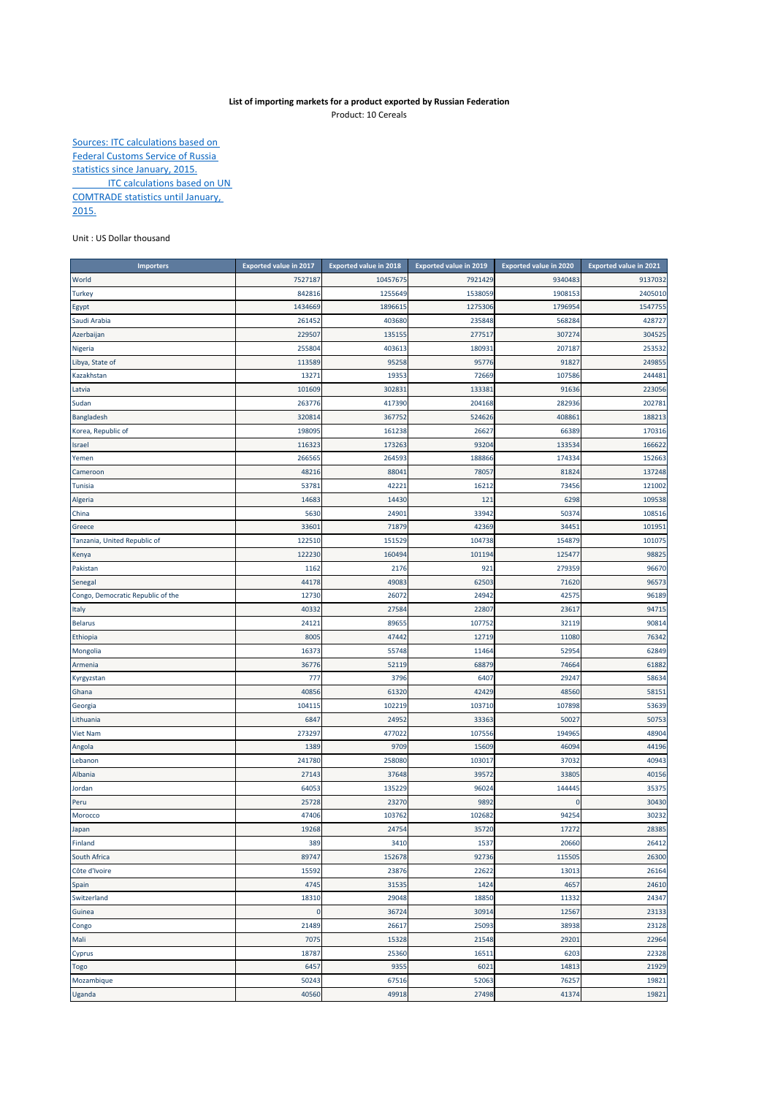## **List of importing markets for a product exported by Russian Federation** Product: 10 Cereals

Sources: ITC calculations based on Federal Customs Service of Russia statistics since January, 2015. **ITC calculations based on UN** COMTRADE statistics until January, 2015.

Unit : US Dollar thousand

| <b>Importers</b>                  | <b>Exported value in 2017</b> | <b>Exported value in 2018</b> | <b>Exported value in 2019</b> | <b>Exported value in 2020</b> | <b>Exported value in 2021</b> |
|-----------------------------------|-------------------------------|-------------------------------|-------------------------------|-------------------------------|-------------------------------|
| World                             | 752718                        | 10457675                      | 7921429                       | 9340483                       | 9137032                       |
| <b>Turkey</b>                     | 842816                        | 1255649                       | 1538059                       | 1908153                       | 2405010                       |
| Egypt                             | 1434669                       | 1896615                       | 1275306                       | 1796954                       | 1547755                       |
| Saudi Arabia                      | 26145                         | 403680                        | 235848                        | 568284                        | 428727                        |
| Azerbaijan                        | 22950                         | 135155                        | 277517                        | 307274                        | 304525                        |
| Nigeria                           | 255804                        | 403613                        | 180931                        | 207187                        | 253532                        |
| Libya, State of                   | 113589                        | 95258                         | 95776                         | 91827                         | 249855                        |
| Kazakhstan                        | 1327                          | 19353                         | 72669                         | 107586                        | 244481                        |
| Latvia                            | 101609                        | 302831                        | 133381                        | 91636                         | 223056                        |
| Sudan                             | 263776                        | 417390                        | 204168                        | 282936                        | 202781                        |
| Bangladesh                        | 320814                        | 367752                        | 524626                        | 408861                        | 188213                        |
| Korea, Republic of                | 198095                        | 161238                        | 26627                         | 66389                         | 170316                        |
| Israel                            | 11632                         | 173263                        | 93204                         | 133534                        | 166622                        |
| Yemen                             | 26656                         | 264593                        | 188866                        | 174334                        | 152663                        |
| Cameroon                          | 48216                         | 88041                         | 78057                         | 81824                         | 137248                        |
| Tunisia                           | 5378                          | 42221                         | 16212                         | 73456                         | 121002                        |
| Algeria                           | 14683                         | 14430                         | 121                           | 6298                          | 109538                        |
| China                             | 5630                          | 24901                         | 33942                         | 50374                         | 108516                        |
| Greece                            | 3360                          | 71879                         | 42369                         | 34451                         | 101951                        |
| Tanzania, United Republic of      | 122510                        | 151529                        | 104738                        | 154879                        | 101075                        |
| Kenya                             | 122230                        | 160494                        | 101194                        | 125477                        | 98825                         |
| Pakistan                          | 116                           | 2176                          | 921                           | 279359                        | 96670                         |
| Senegal                           | 44178                         | 49083                         | 62503                         | 71620                         | 96573                         |
| Congo, Democratic Republic of the | 12730                         | 26072                         | 24942                         | 42575                         | 96189                         |
| Italy                             | 4033                          | 27584                         | 22807                         | 23617                         | 94715                         |
| <b>Belarus</b>                    | 2412:                         | 89655                         | 107752                        | 32119                         | 90814                         |
| Ethiopia                          | 800                           | 47442                         | 12719                         | 11080                         | 76342                         |
| Mongolia                          | 16373                         | 55748                         | 11464                         | 52954                         | 62849                         |
| Armenia                           | 36776                         | 52119                         | 68879                         | 74664                         | 61882                         |
| Kyrgyzstan                        | 777                           | 3796                          | 6407                          | 29247                         | 58634                         |
| Ghana                             | 40856                         | 61320                         | 42429                         | 48560                         | 58151                         |
| Georgia                           | 104115                        | 102219                        | 103710                        | 107898                        | 53639                         |
| Lithuania                         | 6847                          | 24952                         | 33363                         | 50027                         | 50753                         |
| <b>Viet Nam</b>                   | 27329                         | 477022                        | 107556                        | 194965                        | 48904                         |
| Angola                            | 1389                          | 9709                          | 15609                         | 46094                         | 44196                         |
| Lebanon                           | 241780                        | 258080                        | 103017                        | 37032                         | 40943                         |
| Albania                           | 27143                         | 37648                         | 39572                         | 33805                         | 40156                         |
| Jordan                            | 6405                          | 135229                        | 96024                         | 144445                        | 35375                         |
| Peru                              | 25728                         | 23270                         | 9892                          | 0                             | 30430                         |
| Morocco                           | 47406                         | 103762                        | 102682                        | 94254                         | 30232                         |
| Japan                             | 19268                         | 24754                         | 35720                         | 17272                         | 28385                         |
| Finland                           | 389                           | 3410                          | 1537                          | 20660                         | 26412                         |
| South Africa                      | 89747                         | 152678                        | 92736                         | 115505                        | 26300                         |
| Côte d'Ivoire                     | 15592                         | 23876                         | 22622                         | 13013                         | 26164                         |
| Spain                             | 4745                          | 31535                         | 1424                          | 4657                          | 24610                         |
| Switzerland                       | 18310                         | 29048                         | 18850                         | 11332                         | 24347                         |
| Guinea                            | $\mathbf 0$                   | 36724                         | 30914                         | 12567                         | 23133                         |
| Congo                             | 21489                         | 26617                         | 25093                         | 38938                         | 23128                         |
| Mali                              | 7075                          | 15328                         | 21548                         | 29201                         | 22964                         |
| Cyprus                            | 18787                         | 25360                         | 16511                         | 6203                          | 22328                         |
| Togo                              | 6457                          | 9355                          | 6021                          | 14813                         | 21929                         |
| Mozambique                        | 50243                         | 67516                         | 52063                         | 76257                         | 19821                         |
| Uganda                            | 40560                         | 49918                         | 27498                         | 41374                         | 19821                         |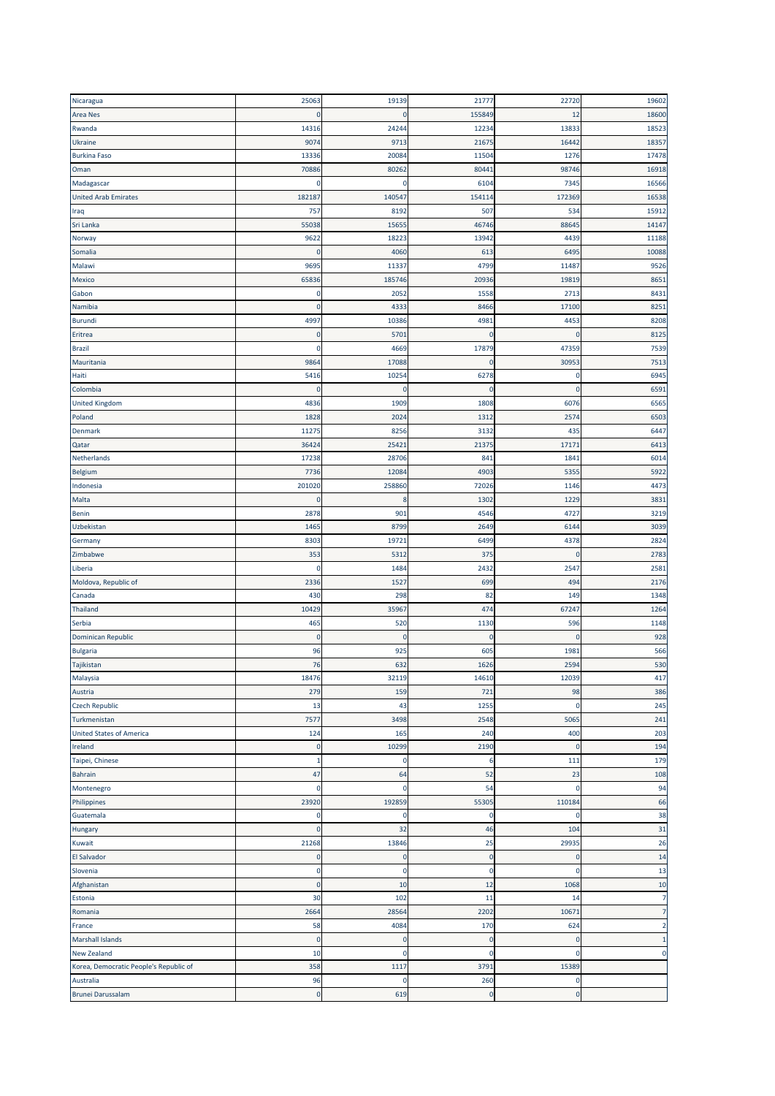| Nicaragua                              | 25063        | 19139       | 21777       | 22720          | 19602          |
|----------------------------------------|--------------|-------------|-------------|----------------|----------------|
| <b>Area Nes</b>                        | $\mathbf{0}$ | $\mathbf 0$ | 155849      | 12             | 18600          |
| Rwanda                                 | 14316        | 24244       | 12234       | 13833          | 18523          |
| Ukraine                                | 9074         | 9713        | 21675       | 16442          | 18357          |
| <b>Burkina Faso</b>                    | 13336        | 20084       | 11504       | 1276           | 17478          |
| Oman                                   | 70886        | 80262       | 80441       | 98746          | 16918          |
| Madagascar                             | $\Omega$     | $\mathbf 0$ | 6104        | 7345           | 16566          |
| <b>United Arab Emirates</b>            | 182187       | 140547      | 154114      | 172369         | 16538          |
| Iraq                                   | 757          | 8192        | 507         | 534            | 15912          |
| Sri Lanka                              | 55038        | 15655       | 46746       | 88645          | 14147          |
| Norway                                 | 9622         | 18223       | 13942       | 4439           | 11188          |
| Somalia                                | $\Omega$     | 4060        | 613         | 6495           | 10088          |
| Malawi                                 | 9695         | 11337       | 4799        | 11487          | 9526           |
| Mexico                                 | 65836        | 185746      | 20936       | 19819          | 8651           |
| Gabon                                  | 0            | 2052        | 1558        | 271            | 8431           |
| Namibia                                | $\Omega$     | 4333        | 8466        | 17100          | 8251           |
|                                        |              |             |             |                |                |
| Burundi                                | 4997         | 10386       | 4981        | 4453           | 8208           |
| Eritrea                                | $\mathbf 0$  | 5701        | $\mathbf 0$ | C              | 8125           |
| <b>Brazil</b>                          | $\Omega$     | 4669        | 17879       | 47359          | 7539           |
| Mauritania                             | 9864         | 17088       | $\Omega$    | 30953          | 7513           |
| Haiti                                  | 5416         | 10254       | 6278        | $\mathbf 0$    | 6945           |
| Colombia                               | $\Omega$     | $\mathbf 0$ | $\mathbf 0$ | $\mathbf 0$    | 6591           |
| <b>United Kingdom</b>                  | 4836         | 1909        | 1808        | 6076           | 6565           |
| Poland                                 | 1828         | 2024        | 1312        | 2574           | 6503           |
| Denmark                                | 11275        | 8256        | 3132        | 435            | 6447           |
| Qatar                                  | 36424        | 25421       | 21375       | 17171          | 6413           |
| Netherlands                            | 17238        | 28706       | 841         | 1841           | 6014           |
| Belgium                                | 7736         | 12084       | 4903        | 5355           | 5922           |
| Indonesia                              | 201020       | 258860      | 72026       | 1146           | 4473           |
| Malta                                  | $\mathbf{0}$ | 8           | 1302        | 1229           | 3831           |
| Benin                                  | 2878         | 901         | 4546        | 4727           | 3219           |
| Uzbekistan                             | 1465         | 8799        | 2649        | 6144           | 3039           |
| Germany                                | 8303         | 19721       | 6499        | 4378           | 2824           |
| Zimbabwe                               | 353          | 5312        | 375         | $\Omega$       | 2783           |
| Liberia                                | $\mathbf{0}$ | 1484        | 2432        | 2547           | 2581           |
|                                        | 2336         | 1527        | 699         |                | 2176           |
| Moldova, Republic of                   |              |             |             | 494            |                |
| Canada                                 | 430          | 298         | 82          | 149            | 1348           |
| Thailand                               | 10429        | 35967       | 474         | 6724           | 1264           |
| Serbia                                 | 465          | 520         | 1130        | 596            | 1148           |
| <b>Dominican Republic</b>              | $\mathbf 0$  | $\mathbf 0$ | $\mathbf 0$ | C              | 928            |
| Bulgaria                               | 96           | 925         | 605         | 1981           | 566            |
| Tajikistan                             | 76           | 632         | 1626        | 2594           | 530            |
| Malaysia                               | 18476        | 32119       | 14610       | 12039          | 417            |
| Austria                                | 279          | 159         | 721         | 98             | 386            |
| <b>Czech Republic</b>                  | 13           | 43          | 1255        | 0              | 245            |
| Turkmenistan                           | 7577         | 3498        | 2548        | 5065           | 241            |
| <b>United States of America</b>        | 124          | 165         | 240         | 400            | 203            |
| Ireland                                | $\mathbf 0$  | 10299       | 2190        | $\mathbf 0$    | 194            |
| Taipei, Chinese                        | $\mathbf{1}$ | 0           | 6           | 111            | 179            |
| <b>Bahrain</b>                         | 47           | 64          | 52          | 23             | 108            |
| Montenegro                             | $\mathbf 0$  | $\mathbf 0$ | 54          | $\mathbf 0$    | 94             |
| Philippines                            | 23920        | 192859      | 55305       | 110184         | 66             |
| Guatemala                              | $\mathbf 0$  | $\mathbf 0$ | $\mathbf 0$ | $\Omega$       | 38             |
| Hungary                                | $\mathbf 0$  | 32          | 46          | 104            | 31             |
| Kuwait                                 | 21268        | 13846       | 25          | 29935          | 26             |
| El Salvador                            | $\mathbf 0$  | $\mathbf 0$ | $\mathbf 0$ | $\overline{0}$ | 14             |
| Slovenia                               | $\mathbf 0$  | $\pmb{0}$   | $\mathbf 0$ | $\mathbf 0$    | 13             |
| Afghanistan                            | $\mathbf 0$  | 10          | 12          | 1068           | 10             |
|                                        | 30           | 102         | 11          | 14             | $\overline{7}$ |
| Estonia                                |              |             |             |                | $\overline{7}$ |
| Romania                                | 2664         | 28564       | 2202        | 10671          |                |
| France                                 | 58           | 4084        | 170         | 624            | $\overline{2}$ |
| <b>Marshall Islands</b>                | $\mathbf 0$  | $\mathbf 0$ | $\mathbf 0$ | 0              | $\mathbf{1}$   |
| New Zealand                            | 10           | $\mathbf 0$ | $\mathbf 0$ | 0              | $\mathbf 0$    |
| Korea, Democratic People's Republic of | 358          | 1117        | 3791        | 15389          |                |
| Australia                              | 96           | 0           | 260         | 0              |                |
| <b>Brunei Darussalam</b>               | $\mathbf 0$  | 619         | $\mathbf 0$ | $\mathbf 0$    |                |